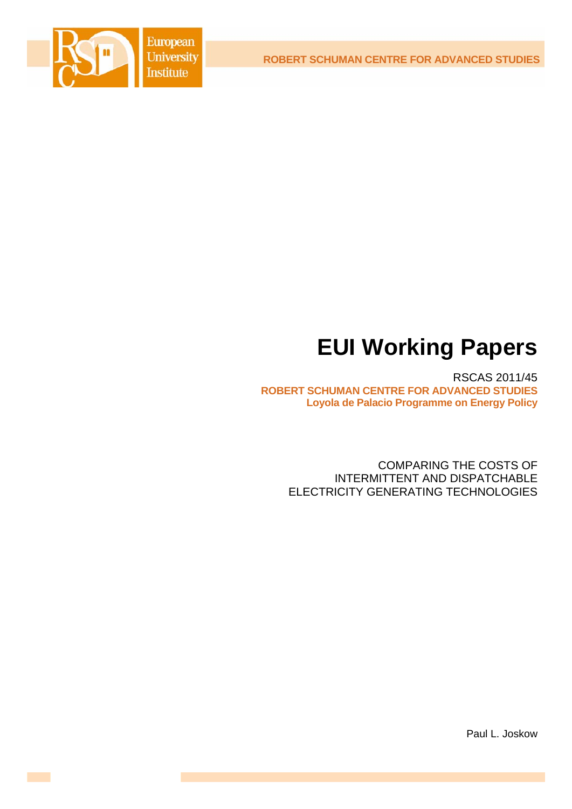**ROBERT SCHUMAN CENTRE FOR ADVANCED STUDIES**



# **EUI Working Papers**

RSCAS 2011/45 **ROBERT SCHUMAN CENTRE FOR ADVANCED STUDIES Loyola de Palacio Programme on Energy Policy**

> COMPARING THE COSTS OF INTERMITTENT AND DISPATCHABLE ELECTRICITY GENERATING TECHNOLOGIES

> > Paul L. Joskow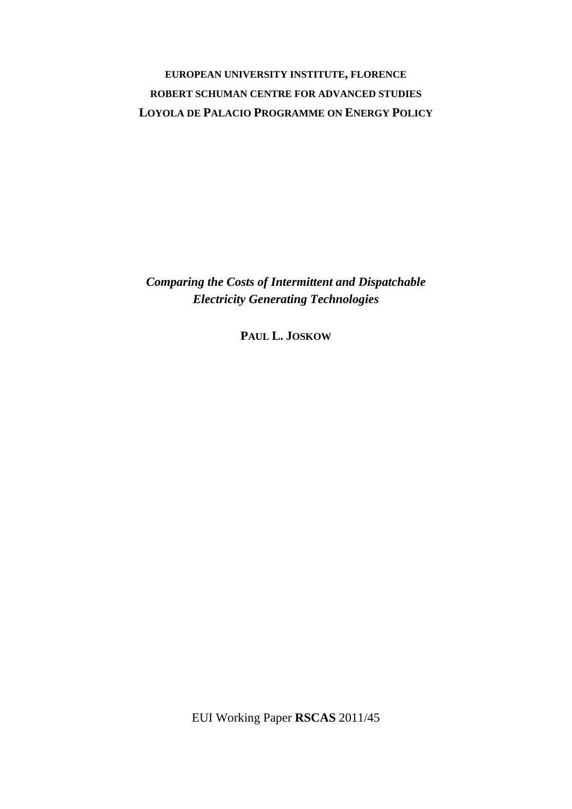# **EUROPEAN UNIVERSITY INSTITUTE, FLORENCE ROBERT SCHUMAN CENTRE FOR ADVANCED STUDIES LOYOLA DE PALACIO PROGRAMME ON ENERGY POLICY**

*Comparing the Costs of Intermittent and Dispatchable Electricity Generating Technologies* 

**PAUL L. JOSKOW**

EUI Working Paper **RSCAS** 2011/45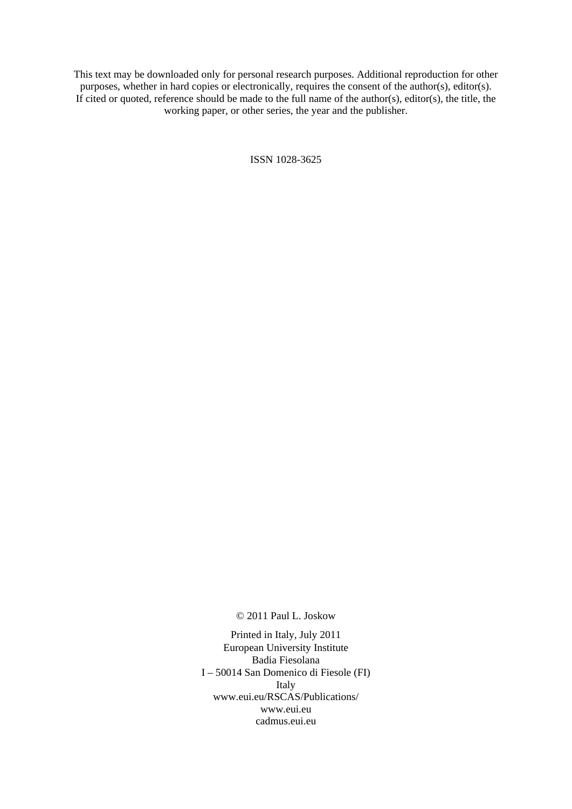This text may be downloaded only for personal research purposes. Additional reproduction for other purposes, whether in hard copies or electronically, requires the consent of the author(s), editor(s). If cited or quoted, reference should be made to the full name of the author(s), editor(s), the title, the working paper, or other series, the year and the publisher.

ISSN 1028-3625

© 2011 Paul L. Joskow

Printed in Italy, July 2011 European University Institute Badia Fiesolana I – 50014 San Domenico di Fiesole (FI) Italy [www.eui.eu/RSCAS/Publications/](http://www.eui.eu/RSCAS/Publications/)  [www.eui.eu](http://www.eui.eu)  cadmus.eui.eu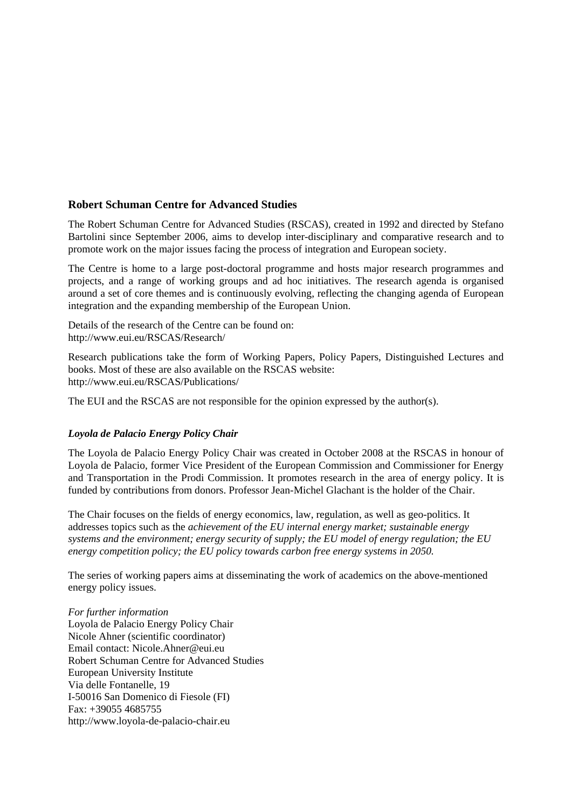## **Robert Schuman Centre for Advanced Studies**

The Robert Schuman Centre for Advanced Studies (RSCAS), created in 1992 and directed by Stefano Bartolini since September 2006, aims to develop inter-disciplinary and comparative research and to promote work on the major issues facing the process of integration and European society.

The Centre is home to a large post-doctoral programme and hosts major research programmes and projects, and a range of working groups and ad hoc initiatives. The research agenda is organised around a set of core themes and is continuously evolving, reflecting the changing agenda of European integration and the expanding membership of the European Union.

Details of the research of the Centre can be found on: <http://www.eui.eu/RSCAS/Research/>

Research publications take the form of Working Papers, Policy Papers, Distinguished Lectures and books. Most of these are also available on the RSCAS website: <http://www.eui.eu/RSCAS/Publications/>

The EUI and the RSCAS are not responsible for the opinion expressed by the author(s).

#### *Loyola de Palacio Energy Policy Chair*

The Loyola de Palacio Energy Policy Chair was created in October 2008 at the RSCAS in honour of Loyola de Palacio, former Vice President of the European Commission and Commissioner for Energy and Transportation in the Prodi Commission. It promotes research in the area of energy policy. It is funded by contributions from donors. Professor Jean-Michel Glachant is the holder of the Chair.

The Chair focuses on the fields of energy economics, law, regulation, as well as geo-politics. It addresses topics such as the *achievement of the EU internal energy market; sustainable energy systems and the environment; energy security of supply; the EU model of energy regulation; the EU energy competition policy; the EU policy towards carbon free energy systems in 2050.*

The series of working papers aims at disseminating the work of academics on the above-mentioned energy policy issues.

*For further information*  Loyola de Palacio Energy Policy Chair Nicole Ahner (scientific coordinator) Email contact: [Nicole.Ahner@eui.eu](mailto:Nicole.Ahner@eui.eu)  Robert Schuman Centre for Advanced Studies European University Institute Via delle Fontanelle, 19 I-50016 San Domenico di Fiesole (FI) Fax: +39055 4685755 <http://www.loyola-de-palacio-chair.eu>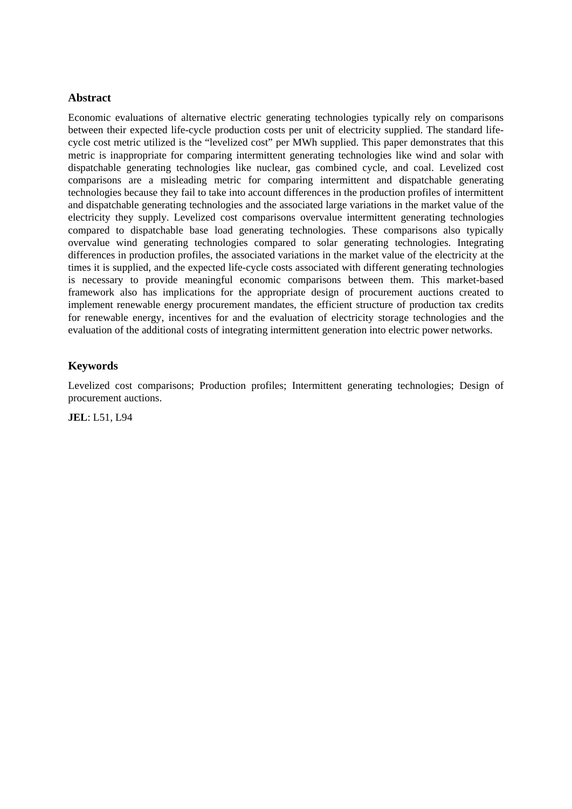## **Abstract**

Economic evaluations of alternative electric generating technologies typically rely on comparisons between their expected life-cycle production costs per unit of electricity supplied. The standard lifecycle cost metric utilized is the "levelized cost" per MWh supplied. This paper demonstrates that this metric is inappropriate for comparing intermittent generating technologies like wind and solar with dispatchable generating technologies like nuclear, gas combined cycle, and coal. Levelized cost comparisons are a misleading metric for comparing intermittent and dispatchable generating technologies because they fail to take into account differences in the production profiles of intermittent and dispatchable generating technologies and the associated large variations in the market value of the electricity they supply. Levelized cost comparisons overvalue intermittent generating technologies compared to dispatchable base load generating technologies. These comparisons also typically overvalue wind generating technologies compared to solar generating technologies. Integrating differences in production profiles, the associated variations in the market value of the electricity at the times it is supplied, and the expected life-cycle costs associated with different generating technologies is necessary to provide meaningful economic comparisons between them. This market-based framework also has implications for the appropriate design of procurement auctions created to implement renewable energy procurement mandates, the efficient structure of production tax credits for renewable energy, incentives for and the evaluation of electricity storage technologies and the evaluation of the additional costs of integrating intermittent generation into electric power networks.

# **Keywords**

Levelized cost comparisons; Production profiles; Intermittent generating technologies; Design of procurement auctions.

**JEL**: L51, L94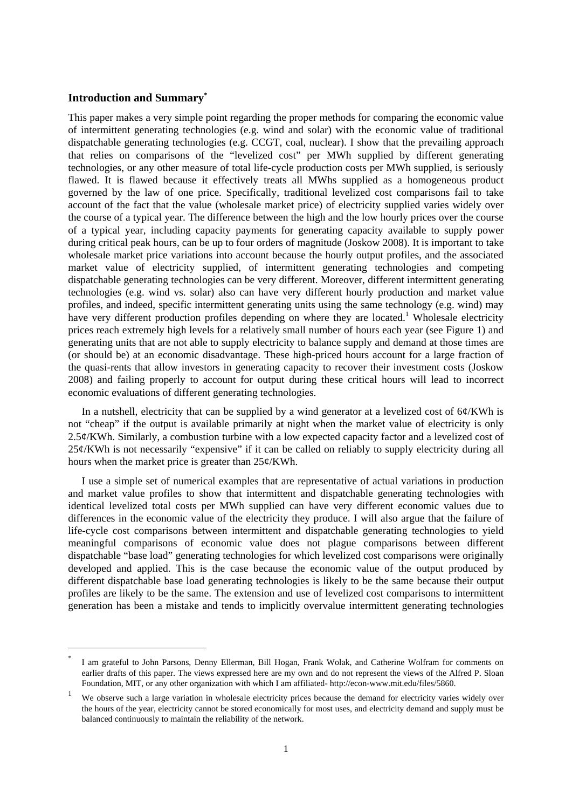#### **Introduction and Summary\***

-

This paper makes a very simple point regarding the proper methods for comparing the economic value of intermittent generating technologies (e.g. wind and solar) with the economic value of traditional dispatchable generating technologies (e.g. CCGT, coal, nuclear). I show that the prevailing approach that relies on comparisons of the "levelized cost" per MWh supplied by different generating technologies, or any other measure of total life-cycle production costs per MWh supplied, is seriously flawed. It is flawed because it effectively treats all MWhs supplied as a homogeneous product governed by the law of one price. Specifically, traditional levelized cost comparisons fail to take account of the fact that the value (wholesale market price) of electricity supplied varies widely over the course of a typical year. The difference between the high and the low hourly prices over the course of a typical year, including capacity payments for generating capacity available to supply power during critical peak hours, can be up to four orders of magnitude (Joskow 2008). It is important to take wholesale market price variations into account because the hourly output profiles, and the associated market value of electricity supplied, of intermittent generating technologies and competing dispatchable generating technologies can be very different. Moreover, different intermittent generating technologies (e.g. wind vs. solar) also can have very different hourly production and market value profiles, and indeed, specific intermittent generating units using the same technology (e.g. wind) may have very different production profiles depending on where they are located.<sup>1</sup> Wholesale electricity prices reach extremely high levels for a relatively small number of hours each year (see Figure 1) and generating units that are not able to supply electricity to balance supply and demand at those times are (or should be) at an economic disadvantage. These high-priced hours account for a large fraction of the quasi-rents that allow investors in generating capacity to recover their investment costs (Joskow 2008) and failing properly to account for output during these critical hours will lead to incorrect economic evaluations of different generating technologies.

In a nutshell, electricity that can be supplied by a wind generator at a levelized cost of  $6¢$ /KWh is not "cheap" if the output is available primarily at night when the market value of electricity is only 2.5¢/KWh. Similarly, a combustion turbine with a low expected capacity factor and a levelized cost of 25¢/KWh is not necessarily "expensive" if it can be called on reliably to supply electricity during all hours when the market price is greater than  $25¢$ /KWh.

I use a simple set of numerical examples that are representative of actual variations in production and market value profiles to show that intermittent and dispatchable generating technologies with identical levelized total costs per MWh supplied can have very different economic values due to differences in the economic value of the electricity they produce. I will also argue that the failure of life-cycle cost comparisons between intermittent and dispatchable generating technologies to yield meaningful comparisons of economic value does not plague comparisons between different dispatchable "base load" generating technologies for which levelized cost comparisons were originally developed and applied. This is the case because the economic value of the output produced by different dispatchable base load generating technologies is likely to be the same because their output profiles are likely to be the same. The extension and use of levelized cost comparisons to intermittent generation has been a mistake and tends to implicitly overvalue intermittent generating technologies

<sup>\*</sup> I am grateful to John Parsons, Denny Ellerman, Bill Hogan, Frank Wolak, and Catherine Wolfram for comments on earlier drafts of this paper. The views expressed here are my own and do not represent the views of the Alfred P. Sloan Foundation, MIT, or any other organization with which I am affiliated- [http://econ-www.mit.edu/files/5860.](http://econ-www.mit.edu/files/5860) 

<sup>1</sup> We observe such a large variation in wholesale electricity prices because the demand for electricity varies widely over the hours of the year, electricity cannot be stored economically for most uses, and electricity demand and supply must be balanced continuously to maintain the reliability of the network.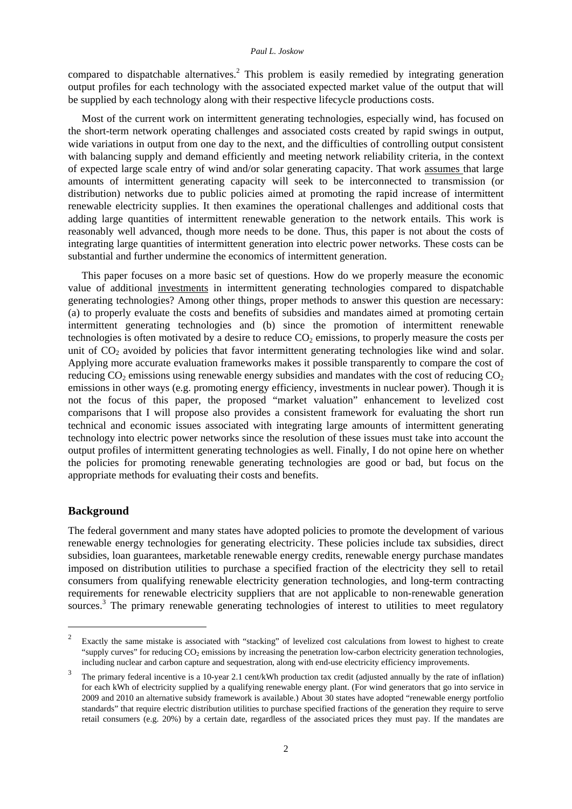compared to dispatchable alternatives.<sup>2</sup> This problem is easily remedied by integrating generation output profiles for each technology with the associated expected market value of the output that will be supplied by each technology along with their respective lifecycle productions costs.

Most of the current work on intermittent generating technologies, especially wind, has focused on the short-term network operating challenges and associated costs created by rapid swings in output, wide variations in output from one day to the next, and the difficulties of controlling output consistent with balancing supply and demand efficiently and meeting network reliability criteria, in the context of expected large scale entry of wind and/or solar generating capacity. That work assumes that large amounts of intermittent generating capacity will seek to be interconnected to transmission (or distribution) networks due to public policies aimed at promoting the rapid increase of intermittent renewable electricity supplies. It then examines the operational challenges and additional costs that adding large quantities of intermittent renewable generation to the network entails. This work is reasonably well advanced, though more needs to be done. Thus, this paper is not about the costs of integrating large quantities of intermittent generation into electric power networks. These costs can be substantial and further undermine the economics of intermittent generation.

This paper focuses on a more basic set of questions. How do we properly measure the economic value of additional investments in intermittent generating technologies compared to dispatchable generating technologies? Among other things, proper methods to answer this question are necessary: (a) to properly evaluate the costs and benefits of subsidies and mandates aimed at promoting certain intermittent generating technologies and (b) since the promotion of intermittent renewable technologies is often motivated by a desire to reduce  $CO<sub>2</sub>$  emissions, to properly measure the costs per unit of  $CO<sub>2</sub>$  avoided by policies that favor intermittent generating technologies like wind and solar. Applying more accurate evaluation frameworks makes it possible transparently to compare the cost of reducing  $CO<sub>2</sub>$  emissions using renewable energy subsidies and mandates with the cost of reducing  $CO<sub>2</sub>$ emissions in other ways (e.g. promoting energy efficiency, investments in nuclear power). Though it is not the focus of this paper, the proposed "market valuation" enhancement to levelized cost comparisons that I will propose also provides a consistent framework for evaluating the short run technical and economic issues associated with integrating large amounts of intermittent generating technology into electric power networks since the resolution of these issues must take into account the output profiles of intermittent generating technologies as well. Finally, I do not opine here on whether the policies for promoting renewable generating technologies are good or bad, but focus on the appropriate methods for evaluating their costs and benefits.

#### **Background**

1

The federal government and many states have adopted policies to promote the development of various renewable energy technologies for generating electricity. These policies include tax subsidies, direct subsidies, loan guarantees, marketable renewable energy credits, renewable energy purchase mandates imposed on distribution utilities to purchase a specified fraction of the electricity they sell to retail consumers from qualifying renewable electricity generation technologies, and long-term contracting requirements for renewable electricity suppliers that are not applicable to non-renewable generation sources.<sup>3</sup> The primary renewable generating technologies of interest to utilities to meet regulatory

<sup>2</sup> Exactly the same mistake is associated with "stacking" of levelized cost calculations from lowest to highest to create "supply curves" for reducing  $CO<sub>2</sub>$  emissions by increasing the penetration low-carbon electricity generation technologies, including nuclear and carbon capture and sequestration, along with end-use electricity efficiency improvements.

<sup>3</sup> The primary federal incentive is a 10-year 2.1 cent/kWh production tax credit (adjusted annually by the rate of inflation) for each kWh of electricity supplied by a qualifying renewable energy plant. (For wind generators that go into service in 2009 and 2010 an alternative subsidy framework is available.) About 30 states have adopted "renewable energy portfolio standards" that require electric distribution utilities to purchase specified fractions of the generation they require to serve retail consumers (e.g. 20%) by a certain date, regardless of the associated prices they must pay. If the mandates are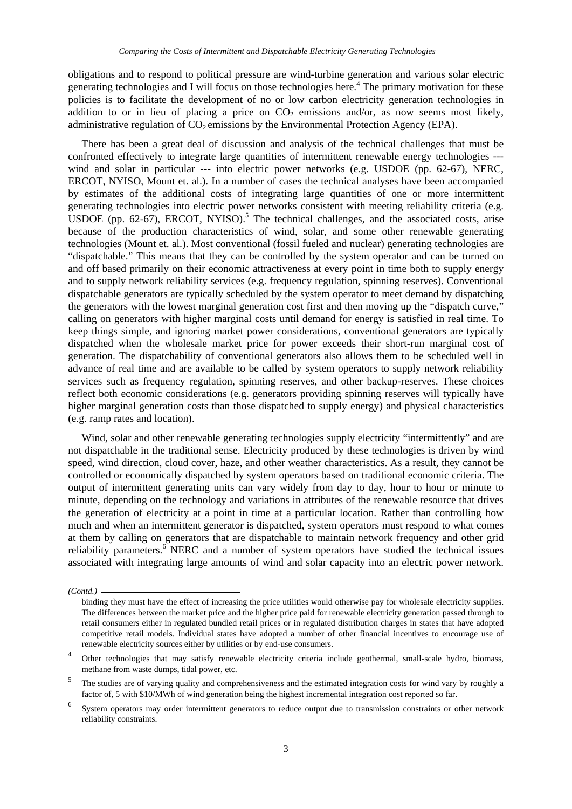obligations and to respond to political pressure are wind-turbine generation and various solar electric generating technologies and I will focus on those technologies here.<sup>4</sup> The primary motivation for these policies is to facilitate the development of no or low carbon electricity generation technologies in addition to or in lieu of placing a price on  $CO<sub>2</sub>$  emissions and/or, as now seems most likely, administrative regulation of  $CO<sub>2</sub>$  emissions by the Environmental Protection Agency (EPA).

There has been a great deal of discussion and analysis of the technical challenges that must be confronted effectively to integrate large quantities of intermittent renewable energy technologies -- wind and solar in particular --- into electric power networks (e.g. USDOE (pp. 62-67), NERC, ERCOT, NYISO, Mount et. al.). In a number of cases the technical analyses have been accompanied by estimates of the additional costs of integrating large quantities of one or more intermittent generating technologies into electric power networks consistent with meeting reliability criteria (e.g. USDOE (pp. 62-67), ERCOT, NYISO).<sup>5</sup> The technical challenges, and the associated costs, arise because of the production characteristics of wind, solar, and some other renewable generating technologies (Mount et. al.). Most conventional (fossil fueled and nuclear) generating technologies are "dispatchable." This means that they can be controlled by the system operator and can be turned on and off based primarily on their economic attractiveness at every point in time both to supply energy and to supply network reliability services (e.g. frequency regulation, spinning reserves). Conventional dispatchable generators are typically scheduled by the system operator to meet demand by dispatching the generators with the lowest marginal generation cost first and then moving up the "dispatch curve," calling on generators with higher marginal costs until demand for energy is satisfied in real time. To keep things simple, and ignoring market power considerations, conventional generators are typically dispatched when the wholesale market price for power exceeds their short-run marginal cost of generation. The dispatchability of conventional generators also allows them to be scheduled well in advance of real time and are available to be called by system operators to supply network reliability services such as frequency regulation, spinning reserves, and other backup-reserves. These choices reflect both economic considerations (e.g. generators providing spinning reserves will typically have higher marginal generation costs than those dispatched to supply energy) and physical characteristics (e.g. ramp rates and location).

Wind, solar and other renewable generating technologies supply electricity "intermittently" and are not dispatchable in the traditional sense. Electricity produced by these technologies is driven by wind speed, wind direction, cloud cover, haze, and other weather characteristics. As a result, they cannot be controlled or economically dispatched by system operators based on traditional economic criteria. The output of intermittent generating units can vary widely from day to day, hour to hour or minute to minute, depending on the technology and variations in attributes of the renewable resource that drives the generation of electricity at a point in time at a particular location. Rather than controlling how much and when an intermittent generator is dispatched, system operators must respond to what comes at them by calling on generators that are dispatchable to maintain network frequency and other grid reliability parameters.<sup>6</sup> NERC and a number of system operators have studied the technical issues associated with integrating large amounts of wind and solar capacity into an electric power network.

*<sup>(</sup>Contd.)* 

binding they must have the effect of increasing the price utilities would otherwise pay for wholesale electricity supplies. The differences between the market price and the higher price paid for renewable electricity generation passed through to retail consumers either in regulated bundled retail prices or in regulated distribution charges in states that have adopted competitive retail models. Individual states have adopted a number of other financial incentives to encourage use of renewable electricity sources either by utilities or by end-use consumers.

<sup>4</sup> Other technologies that may satisfy renewable electricity criteria include geothermal, small-scale hydro, biomass, methane from waste dumps, tidal power, etc.

<sup>5</sup> The studies are of varying quality and comprehensiveness and the estimated integration costs for wind vary by roughly a factor of, 5 with \$10/MWh of wind generation being the highest incremental integration cost reported so far.

<sup>6</sup> System operators may order intermittent generators to reduce output due to transmission constraints or other network reliability constraints.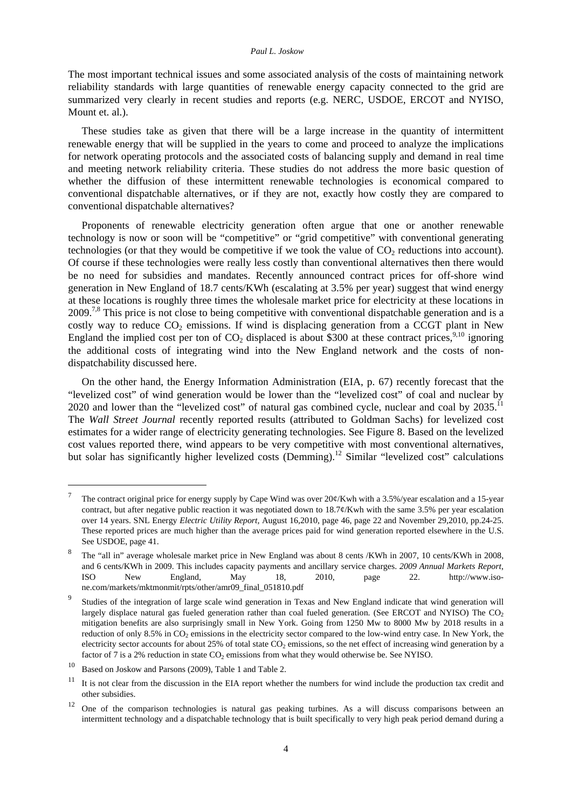The most important technical issues and some associated analysis of the costs of maintaining network reliability standards with large quantities of renewable energy capacity connected to the grid are summarized very clearly in recent studies and reports (e.g. NERC, USDOE, ERCOT and NYISO, Mount et. al.).

These studies take as given that there will be a large increase in the quantity of intermittent renewable energy that will be supplied in the years to come and proceed to analyze the implications for network operating protocols and the associated costs of balancing supply and demand in real time and meeting network reliability criteria. These studies do not address the more basic question of whether the diffusion of these intermittent renewable technologies is economical compared to conventional dispatchable alternatives, or if they are not, exactly how costly they are compared to conventional dispatchable alternatives?

Proponents of renewable electricity generation often argue that one or another renewable technology is now or soon will be "competitive" or "grid competitive" with conventional generating technologies (or that they would be competitive if we took the value of  $CO<sub>2</sub>$  reductions into account). Of course if these technologies were really less costly than conventional alternatives then there would be no need for subsidies and mandates. Recently announced contract prices for off-shore wind generation in New England of 18.7 cents/KWh (escalating at 3.5% per year) suggest that wind energy at these locations is roughly three times the wholesale market price for electricity at these locations in 2009.<sup>7,8</sup> This price is not close to being competitive with conventional dispatchable generation and is a costly way to reduce  $CO<sub>2</sub>$  emissions. If wind is displacing generation from a CCGT plant in New England the implied cost per ton of  $CO<sub>2</sub>$  displaced is about \$300 at these contract prices,<sup>9,10</sup> ignoring the additional costs of integrating wind into the New England network and the costs of nondispatchability discussed here.

On the other hand, the Energy Information Administration (EIA, p. 67) recently forecast that the "levelized cost" of wind generation would be lower than the "levelized cost" of coal and nuclear by 2020 and lower than the "levelized cost" of natural gas combined cycle, nuclear and coal by  $2035$ .<sup>11</sup> The *Wall Street Journal* recently reported results (attributed to Goldman Sachs) for levelized cost estimates for a wider range of electricity generating technologies. See Figure 8. Based on the levelized cost values reported there, wind appears to be very competitive with most conventional alternatives, but solar has significantly higher levelized costs (Demming).<sup>12</sup> Similar "levelized cost" calculations

1

<sup>7</sup> The contract original price for energy supply by Cape Wind was over  $20\frac{\cancel{(}}{Kwh}$  with a 3.5%/year escalation and a 15-year contract, but after negative public reaction it was negotiated down to  $18.7\frac{\epsilon}{K}$ wh with the same 3.5% per year escalation over 14 years. SNL Energy *Electric Utility Report,* August 16,2010, page 46, page 22 and November 29,2010, pp.24-25. These reported prices are much higher than the average prices paid for wind generation reported elsewhere in the U.S. See USDOE, page 41.

<sup>8</sup> The "all in" average wholesale market price in New England was about 8 cents /KWh in 2007, 10 cents/KWh in 2008, and 6 cents/KWh in 2009. This includes capacity payments and ancillary service charges. *2009 Annual Markets Report*, [ISO New England, May 18, 2010, page 22. http://www.iso](http://www.iso-ne.com/markets/mktmonmit/rpts/other/amr09_final_051810.pdf)ne.[com/markets/mktmonmit/rpts/other/amr09\\_final\\_051810.pdf](http://www.iso-ne.com/markets/mktmonmit/rpts/other/amr09_final_051810.pdf) 

<sup>9</sup> Studies of the integration of large scale wind generation in Texas and New England indicate that wind generation will largely displace natural gas fueled generation rather than coal fueled generation. (See ERCOT and NYISO) The  $CO<sub>2</sub>$ mitigation benefits are also surprisingly small in New York. Going from 1250 Mw to 8000 Mw by 2018 results in a reduction of only  $8.5\%$  in CO<sub>2</sub> emissions in the electricity sector compared to the low-wind entry case. In New York, the electricity sector accounts for about  $25\%$  of total state CO<sub>2</sub> emissions, so the net effect of increasing wind generation by a factor of 7 is a 2% reduction in state  $CO<sub>2</sub>$  emissions from what they would otherwise be. See NYISO.

<sup>10</sup> Based on Joskow and Parsons (2009), Table 1 and Table 2.

<sup>&</sup>lt;sup>11</sup> It is not clear from the discussion in the EIA report whether the numbers for wind include the production tax credit and other subsidies.

<sup>&</sup>lt;sup>12</sup> One of the comparison technologies is natural gas peaking turbines. As a will discuss comparisons between an intermittent technology and a dispatchable technology that is built specifically to very high peak period demand during a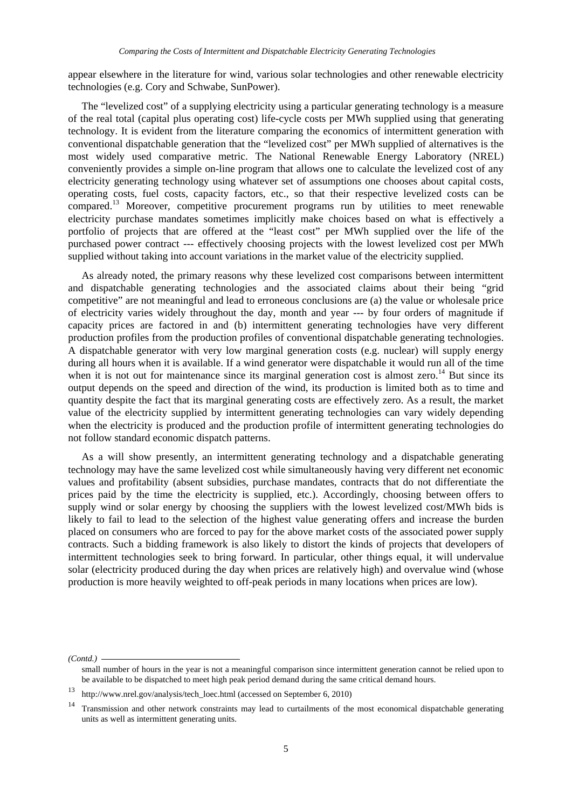appear elsewhere in the literature for wind, various solar technologies and other renewable electricity technologies (e.g. Cory and Schwabe, SunPower).

The "levelized cost" of a supplying electricity using a particular generating technology is a measure of the real total (capital plus operating cost) life-cycle costs per MWh supplied using that generating technology. It is evident from the literature comparing the economics of intermittent generation with conventional dispatchable generation that the "levelized cost" per MWh supplied of alternatives is the most widely used comparative metric. The National Renewable Energy Laboratory (NREL) conveniently provides a simple on-line program that allows one to calculate the levelized cost of any electricity generating technology using whatever set of assumptions one chooses about capital costs, operating costs, fuel costs, capacity factors, etc., so that their respective levelized costs can be compared.13 Moreover, competitive procurement programs run by utilities to meet renewable electricity purchase mandates sometimes implicitly make choices based on what is effectively a portfolio of projects that are offered at the "least cost" per MWh supplied over the life of the purchased power contract --- effectively choosing projects with the lowest levelized cost per MWh supplied without taking into account variations in the market value of the electricity supplied.

As already noted, the primary reasons why these levelized cost comparisons between intermittent and dispatchable generating technologies and the associated claims about their being "grid competitive" are not meaningful and lead to erroneous conclusions are (a) the value or wholesale price of electricity varies widely throughout the day, month and year --- by four orders of magnitude if capacity prices are factored in and (b) intermittent generating technologies have very different production profiles from the production profiles of conventional dispatchable generating technologies. A dispatchable generator with very low marginal generation costs (e.g. nuclear) will supply energy during all hours when it is available. If a wind generator were dispatchable it would run all of the time when it is not out for maintenance since its marginal generation cost is almost zero.<sup>14</sup> But since its output depends on the speed and direction of the wind, its production is limited both as to time and quantity despite the fact that its marginal generating costs are effectively zero. As a result, the market value of the electricity supplied by intermittent generating technologies can vary widely depending when the electricity is produced and the production profile of intermittent generating technologies do not follow standard economic dispatch patterns.

As a will show presently, an intermittent generating technology and a dispatchable generating technology may have the same levelized cost while simultaneously having very different net economic values and profitability (absent subsidies, purchase mandates, contracts that do not differentiate the prices paid by the time the electricity is supplied, etc.). Accordingly, choosing between offers to supply wind or solar energy by choosing the suppliers with the lowest levelized cost/MWh bids is likely to fail to lead to the selection of the highest value generating offers and increase the burden placed on consumers who are forced to pay for the above market costs of the associated power supply contracts. Such a bidding framework is also likely to distort the kinds of projects that developers of intermittent technologies seek to bring forward. In particular, other things equal, it will undervalue solar (electricity produced during the day when prices are relatively high) and overvalue wind (whose production is more heavily weighted to off-peak periods in many locations when prices are low).

*(Contd.)* 

small number of hours in the year is not a meaningful comparison since intermittent generation cannot be relied upon to be available to be dispatched to meet high peak period demand during the same critical demand hours.

<sup>13</sup> [http://www.nrel.gov/analysis/tech\\_loec.html \(a](http://www.nrel.gov/analysis/tech_loec.html)ccessed on September 6, 2010)

<sup>&</sup>lt;sup>14</sup> Transmission and other network constraints may lead to curtailments of the most economical dispatchable generating units as well as intermittent generating units.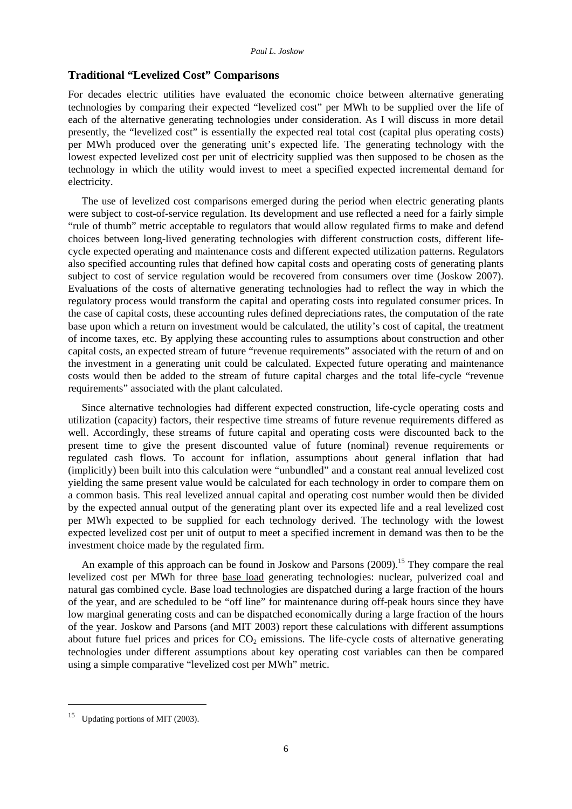#### **Traditional "Levelized Cost" Comparisons**

For decades electric utilities have evaluated the economic choice between alternative generating technologies by comparing their expected "levelized cost" per MWh to be supplied over the life of each of the alternative generating technologies under consideration. As I will discuss in more detail presently, the "levelized cost" is essentially the expected real total cost (capital plus operating costs) per MWh produced over the generating unit's expected life. The generating technology with the lowest expected levelized cost per unit of electricity supplied was then supposed to be chosen as the technology in which the utility would invest to meet a specified expected incremental demand for electricity.

The use of levelized cost comparisons emerged during the period when electric generating plants were subject to cost-of-service regulation. Its development and use reflected a need for a fairly simple "rule of thumb" metric acceptable to regulators that would allow regulated firms to make and defend choices between long-lived generating technologies with different construction costs, different lifecycle expected operating and maintenance costs and different expected utilization patterns. Regulators also specified accounting rules that defined how capital costs and operating costs of generating plants subject to cost of service regulation would be recovered from consumers over time (Joskow 2007). Evaluations of the costs of alternative generating technologies had to reflect the way in which the regulatory process would transform the capital and operating costs into regulated consumer prices. In the case of capital costs, these accounting rules defined depreciations rates, the computation of the rate base upon which a return on investment would be calculated, the utility's cost of capital, the treatment of income taxes, etc. By applying these accounting rules to assumptions about construction and other capital costs, an expected stream of future "revenue requirements" associated with the return of and on the investment in a generating unit could be calculated. Expected future operating and maintenance costs would then be added to the stream of future capital charges and the total life-cycle "revenue requirements" associated with the plant calculated.

Since alternative technologies had different expected construction, life-cycle operating costs and utilization (capacity) factors, their respective time streams of future revenue requirements differed as well. Accordingly, these streams of future capital and operating costs were discounted back to the present time to give the present discounted value of future (nominal) revenue requirements or regulated cash flows. To account for inflation, assumptions about general inflation that had (implicitly) been built into this calculation were "unbundled" and a constant real annual levelized cost yielding the same present value would be calculated for each technology in order to compare them on a common basis. This real levelized annual capital and operating cost number would then be divided by the expected annual output of the generating plant over its expected life and a real levelized cost per MWh expected to be supplied for each technology derived. The technology with the lowest expected levelized cost per unit of output to meet a specified increment in demand was then to be the investment choice made by the regulated firm.

An example of this approach can be found in Joskow and Parsons (2009).<sup>15</sup> They compare the real levelized cost per MWh for three base load generating technologies: nuclear, pulverized coal and natural gas combined cycle. Base load technologies are dispatched during a large fraction of the hours of the year, and are scheduled to be "off line" for maintenance during off-peak hours since they have low marginal generating costs and can be dispatched economically during a large fraction of the hours of the year. Joskow and Parsons (and MIT 2003) report these calculations with different assumptions about future fuel prices and prices for  $CO<sub>2</sub>$  emissions. The life-cycle costs of alternative generating technologies under different assumptions about key operating cost variables can then be compared using a simple comparative "levelized cost per MWh" metric.

1

<sup>&</sup>lt;sup>15</sup> Updating portions of MIT (2003).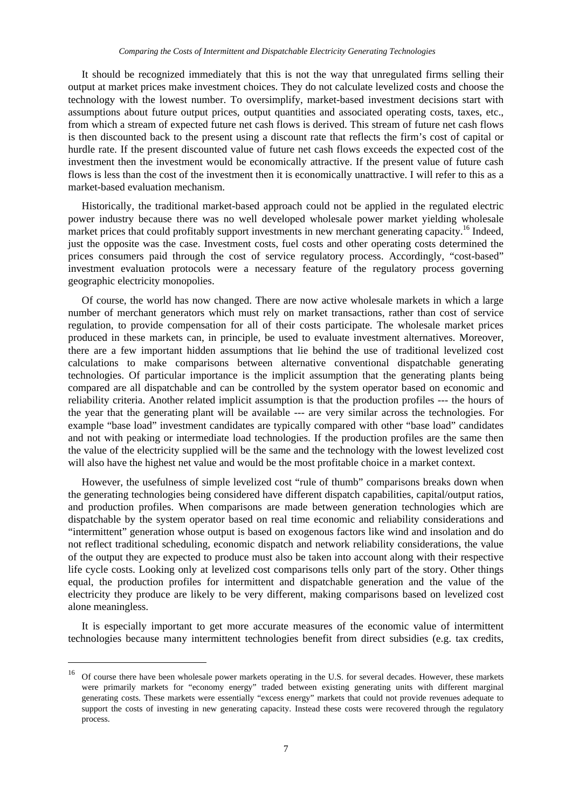It should be recognized immediately that this is not the way that unregulated firms selling their output at market prices make investment choices. They do not calculate levelized costs and choose the technology with the lowest number. To oversimplify, market-based investment decisions start with assumptions about future output prices, output quantities and associated operating costs, taxes, etc., from which a stream of expected future net cash flows is derived. This stream of future net cash flows is then discounted back to the present using a discount rate that reflects the firm's cost of capital or hurdle rate. If the present discounted value of future net cash flows exceeds the expected cost of the investment then the investment would be economically attractive. If the present value of future cash flows is less than the cost of the investment then it is economically unattractive. I will refer to this as a market-based evaluation mechanism.

Historically, the traditional market-based approach could not be applied in the regulated electric power industry because there was no well developed wholesale power market yielding wholesale market prices that could profitably support investments in new merchant generating capacity.<sup>16</sup> Indeed, just the opposite was the case. Investment costs, fuel costs and other operating costs determined the prices consumers paid through the cost of service regulatory process. Accordingly, "cost-based" investment evaluation protocols were a necessary feature of the regulatory process governing geographic electricity monopolies.

Of course, the world has now changed. There are now active wholesale markets in which a large number of merchant generators which must rely on market transactions, rather than cost of service regulation, to provide compensation for all of their costs participate. The wholesale market prices produced in these markets can, in principle, be used to evaluate investment alternatives. Moreover, there are a few important hidden assumptions that lie behind the use of traditional levelized cost calculations to make comparisons between alternative conventional dispatchable generating technologies. Of particular importance is the implicit assumption that the generating plants being compared are all dispatchable and can be controlled by the system operator based on economic and reliability criteria. Another related implicit assumption is that the production profiles --- the hours of the year that the generating plant will be available --- are very similar across the technologies. For example "base load" investment candidates are typically compared with other "base load" candidates and not with peaking or intermediate load technologies. If the production profiles are the same then the value of the electricity supplied will be the same and the technology with the lowest levelized cost will also have the highest net value and would be the most profitable choice in a market context.

However, the usefulness of simple levelized cost "rule of thumb" comparisons breaks down when the generating technologies being considered have different dispatch capabilities, capital/output ratios, and production profiles. When comparisons are made between generation technologies which are dispatchable by the system operator based on real time economic and reliability considerations and "intermittent" generation whose output is based on exogenous factors like wind and insolation and do not reflect traditional scheduling, economic dispatch and network reliability considerations, the value of the output they are expected to produce must also be taken into account along with their respective life cycle costs. Looking only at levelized cost comparisons tells only part of the story. Other things equal, the production profiles for intermittent and dispatchable generation and the value of the electricity they produce are likely to be very different, making comparisons based on levelized cost alone meaningless.

It is especially important to get more accurate measures of the economic value of intermittent technologies because many intermittent technologies benefit from direct subsidies (e.g. tax credits,

-

<sup>&</sup>lt;sup>16</sup> Of course there have been wholesale power markets operating in the U.S. for several decades. However, these markets were primarily markets for "economy energy" traded between existing generating units with different marginal generating costs. These markets were essentially "excess energy" markets that could not provide revenues adequate to support the costs of investing in new generating capacity. Instead these costs were recovered through the regulatory process.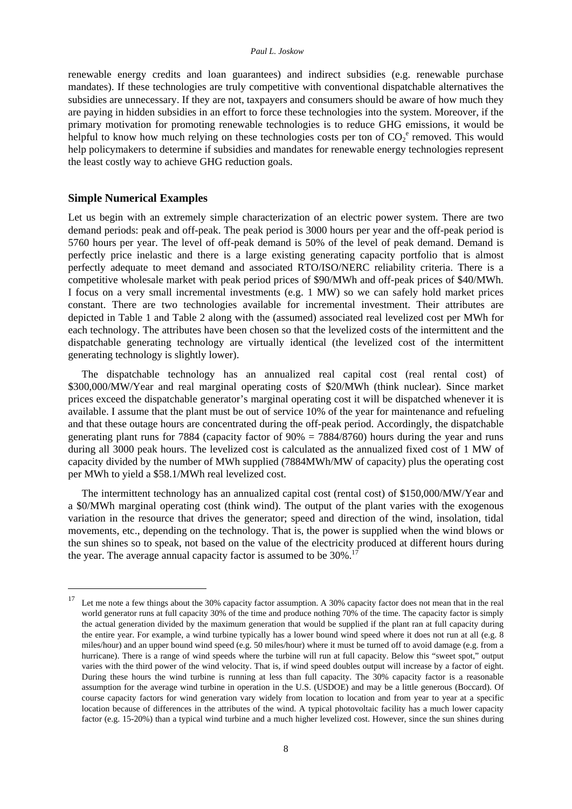renewable energy credits and loan guarantees) and indirect subsidies (e.g. renewable purchase mandates). If these technologies are truly competitive with conventional dispatchable alternatives the subsidies are unnecessary. If they are not, taxpayers and consumers should be aware of how much they are paying in hidden subsidies in an effort to force these technologies into the system. Moreover, if the primary motivation for promoting renewable technologies is to reduce GHG emissions, it would be helpful to know how much relying on these technologies costs per ton of  $CO_2^{\circ}$  removed. This would help policymakers to determine if subsidies and mandates for renewable energy technologies represent the least costly way to achieve GHG reduction goals.

#### **Simple Numerical Examples**

1

Let us begin with an extremely simple characterization of an electric power system. There are two demand periods: peak and off-peak. The peak period is 3000 hours per year and the off-peak period is 5760 hours per year. The level of off-peak demand is 50% of the level of peak demand. Demand is perfectly price inelastic and there is a large existing generating capacity portfolio that is almost perfectly adequate to meet demand and associated RTO/ISO/NERC reliability criteria. There is a competitive wholesale market with peak period prices of \$90/MWh and off-peak prices of \$40/MWh. I focus on a very small incremental investments (e.g. 1 MW) so we can safely hold market prices constant. There are two technologies available for incremental investment. Their attributes are depicted in Table 1 and Table 2 along with the (assumed) associated real levelized cost per MWh for each technology. The attributes have been chosen so that the levelized costs of the intermittent and the dispatchable generating technology are virtually identical (the levelized cost of the intermittent generating technology is slightly lower).

The dispatchable technology has an annualized real capital cost (real rental cost) of \$300,000/MW/Year and real marginal operating costs of \$20/MWh (think nuclear). Since market prices exceed the dispatchable generator's marginal operating cost it will be dispatched whenever it is available. I assume that the plant must be out of service 10% of the year for maintenance and refueling and that these outage hours are concentrated during the off-peak period. Accordingly, the dispatchable generating plant runs for 7884 (capacity factor of  $90\% = 7884/8760$ ) hours during the year and runs during all 3000 peak hours. The levelized cost is calculated as the annualized fixed cost of 1 MW of capacity divided by the number of MWh supplied (7884MWh/MW of capacity) plus the operating cost per MWh to yield a \$58.1/MWh real levelized cost.

The intermittent technology has an annualized capital cost (rental cost) of \$150,000/MW/Year and a \$0/MWh marginal operating cost (think wind). The output of the plant varies with the exogenous variation in the resource that drives the generator; speed and direction of the wind, insolation, tidal movements, etc., depending on the technology. That is, the power is supplied when the wind blows or the sun shines so to speak, not based on the value of the electricity produced at different hours during the year. The average annual capacity factor is assumed to be  $30\%$ .<sup>17</sup>

<sup>&</sup>lt;sup>17</sup> Let me note a few things about the 30% capacity factor assumption. A 30% capacity factor does not mean that in the real world generator runs at full capacity 30% of the time and produce nothing 70% of the time. The capacity factor is simply the actual generation divided by the maximum generation that would be supplied if the plant ran at full capacity during the entire year. For example, a wind turbine typically has a lower bound wind speed where it does not run at all (e.g. 8 miles/hour) and an upper bound wind speed (e.g. 50 miles/hour) where it must be turned off to avoid damage (e.g. from a hurricane). There is a range of wind speeds where the turbine will run at full capacity. Below this "sweet spot," output varies with the third power of the wind velocity. That is, if wind speed doubles output will increase by a factor of eight. During these hours the wind turbine is running at less than full capacity. The 30% capacity factor is a reasonable assumption for the average wind turbine in operation in the U.S. (USDOE) and may be a little generous (Boccard). Of course capacity factors for wind generation vary widely from location to location and from year to year at a specific location because of differences in the attributes of the wind. A typical photovoltaic facility has a much lower capacity factor (e.g. 15-20%) than a typical wind turbine and a much higher levelized cost. However, since the sun shines during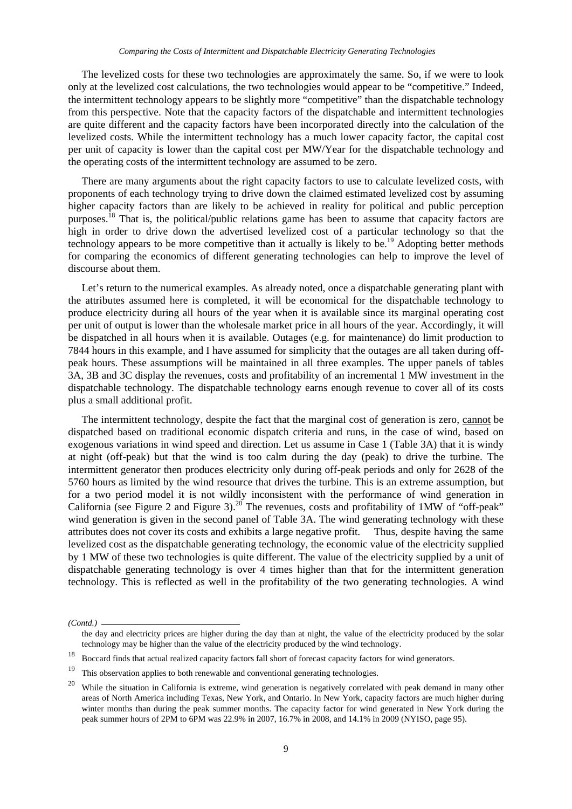The levelized costs for these two technologies are approximately the same. So, if we were to look only at the levelized cost calculations, the two technologies would appear to be "competitive." Indeed, the intermittent technology appears to be slightly more "competitive" than the dispatchable technology from this perspective. Note that the capacity factors of the dispatchable and intermittent technologies are quite different and the capacity factors have been incorporated directly into the calculation of the levelized costs. While the intermittent technology has a much lower capacity factor, the capital cost per unit of capacity is lower than the capital cost per MW/Year for the dispatchable technology and the operating costs of the intermittent technology are assumed to be zero.

There are many arguments about the right capacity factors to use to calculate levelized costs, with proponents of each technology trying to drive down the claimed estimated levelized cost by assuming higher capacity factors than are likely to be achieved in reality for political and public perception purposes.18 That is, the political/public relations game has been to assume that capacity factors are high in order to drive down the advertised levelized cost of a particular technology so that the technology appears to be more competitive than it actually is likely to be.<sup>19</sup> Adopting better methods for comparing the economics of different generating technologies can help to improve the level of discourse about them.

Let's return to the numerical examples. As already noted, once a dispatchable generating plant with the attributes assumed here is completed, it will be economical for the dispatchable technology to produce electricity during all hours of the year when it is available since its marginal operating cost per unit of output is lower than the wholesale market price in all hours of the year. Accordingly, it will be dispatched in all hours when it is available. Outages (e.g. for maintenance) do limit production to 7844 hours in this example, and I have assumed for simplicity that the outages are all taken during offpeak hours. These assumptions will be maintained in all three examples. The upper panels of tables 3A, 3B and 3C display the revenues, costs and profitability of an incremental 1 MW investment in the dispatchable technology. The dispatchable technology earns enough revenue to cover all of its costs plus a small additional profit.

The intermittent technology, despite the fact that the marginal cost of generation is zero, cannot be dispatched based on traditional economic dispatch criteria and runs, in the case of wind, based on exogenous variations in wind speed and direction. Let us assume in Case 1 (Table 3A) that it is windy at night (off-peak) but that the wind is too calm during the day (peak) to drive the turbine. The intermittent generator then produces electricity only during off-peak periods and only for 2628 of the 5760 hours as limited by the wind resource that drives the turbine. This is an extreme assumption, but for a two period model it is not wildly inconsistent with the performance of wind generation in California (see Figure 2 and Figure 3).<sup>20</sup> The revenues, costs and profitability of 1MW of "off-peak" wind generation is given in the second panel of Table 3A. The wind generating technology with these attributes does not cover its costs and exhibits a large negative profit. Thus, despite having the same levelized cost as the dispatchable generating technology, the economic value of the electricity supplied by 1 MW of these two technologies is quite different. The value of the electricity supplied by a unit of dispatchable generating technology is over 4 times higher than that for the intermittent generation technology. This is reflected as well in the profitability of the two generating technologies. A wind

*<sup>(</sup>Contd.)* 

the day and electricity prices are higher during the day than at night, the value of the electricity produced by the solar technology may be higher than the value of the electricity produced by the wind technology.

<sup>18</sup> Boccard finds that actual realized capacity factors fall short of forecast capacity factors for wind generators.

 $19$  This observation applies to both renewable and conventional generating technologies.

While the situation in California is extreme, wind generation is negatively correlated with peak demand in many other areas of North America including Texas, New York, and Ontario. In New York, capacity factors are much higher during winter months than during the peak summer months. The capacity factor for wind generated in New York during the peak summer hours of 2PM to 6PM was 22.9% in 2007, 16.7% in 2008, and 14.1% in 2009 (NYISO, page 95).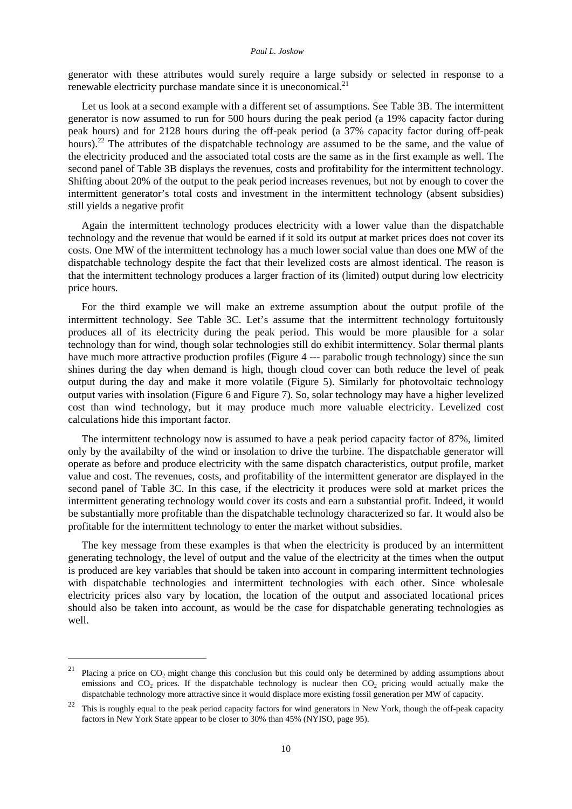#### *Paul L. Joskow*

generator with these attributes would surely require a large subsidy or selected in response to a renewable electricity purchase mandate since it is uneconomical. $^{21}$ 

Let us look at a second example with a different set of assumptions. See Table 3B. The intermittent generator is now assumed to run for 500 hours during the peak period (a 19% capacity factor during peak hours) and for 2128 hours during the off-peak period (a 37% capacity factor during off-peak hours).<sup>22</sup> The attributes of the dispatchable technology are assumed to be the same, and the value of the electricity produced and the associated total costs are the same as in the first example as well. The second panel of Table 3B displays the revenues, costs and profitability for the intermittent technology. Shifting about 20% of the output to the peak period increases revenues, but not by enough to cover the intermittent generator's total costs and investment in the intermittent technology (absent subsidies) still yields a negative profit

Again the intermittent technology produces electricity with a lower value than the dispatchable technology and the revenue that would be earned if it sold its output at market prices does not cover its costs. One MW of the intermittent technology has a much lower social value than does one MW of the dispatchable technology despite the fact that their levelized costs are almost identical. The reason is that the intermittent technology produces a larger fraction of its (limited) output during low electricity price hours.

For the third example we will make an extreme assumption about the output profile of the intermittent technology. See Table 3C. Let's assume that the intermittent technology fortuitously produces all of its electricity during the peak period. This would be more plausible for a solar technology than for wind, though solar technologies still do exhibit intermittency. Solar thermal plants have much more attractive production profiles (Figure 4 --- parabolic trough technology) since the sun shines during the day when demand is high, though cloud cover can both reduce the level of peak output during the day and make it more volatile (Figure 5). Similarly for photovoltaic technology output varies with insolation (Figure 6 and Figure 7). So, solar technology may have a higher levelized cost than wind technology, but it may produce much more valuable electricity. Levelized cost calculations hide this important factor.

The intermittent technology now is assumed to have a peak period capacity factor of 87%, limited only by the availabilty of the wind or insolation to drive the turbine. The dispatchable generator will operate as before and produce electricity with the same dispatch characteristics, output profile, market value and cost. The revenues, costs, and profitability of the intermittent generator are displayed in the second panel of Table 3C. In this case, if the electricity it produces were sold at market prices the intermittent generating technology would cover its costs and earn a substantial profit. Indeed, it would be substantially more profitable than the dispatchable technology characterized so far. It would also be profitable for the intermittent technology to enter the market without subsidies.

The key message from these examples is that when the electricity is produced by an intermittent generating technology, the level of output and the value of the electricity at the times when the output is produced are key variables that should be taken into account in comparing intermittent technologies with dispatchable technologies and intermittent technologies with each other. Since wholesale electricity prices also vary by location, the location of the output and associated locational prices should also be taken into account, as would be the case for dispatchable generating technologies as well.

1

<sup>&</sup>lt;sup>21</sup> Placing a price on  $CO_2$  might change this conclusion but this could only be determined by adding assumptions about emissions and  $CO<sub>2</sub>$  prices. If the dispatchable technology is nuclear then  $CO<sub>2</sub>$  pricing would actually make the dispatchable technology more attractive since it would displace more existing fossil generation per MW of capacity.

<sup>22</sup> This is roughly equal to the peak period capacity factors for wind generators in New York, though the off-peak capacity factors in New York State appear to be closer to 30% than 45% (NYISO, page 95).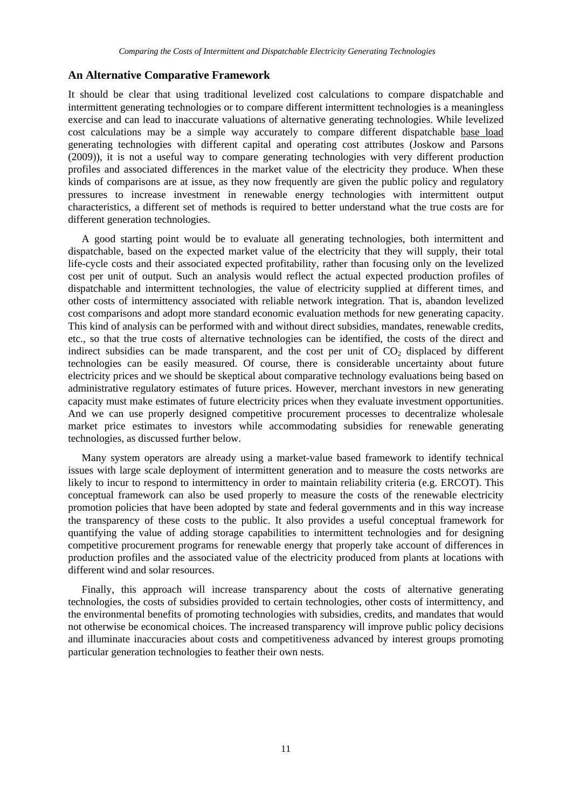#### **An Alternative Comparative Framework**

It should be clear that using traditional levelized cost calculations to compare dispatchable and intermittent generating technologies or to compare different intermittent technologies is a meaningless exercise and can lead to inaccurate valuations of alternative generating technologies. While levelized cost calculations may be a simple way accurately to compare different dispatchable base load generating technologies with different capital and operating cost attributes (Joskow and Parsons (2009)), it is not a useful way to compare generating technologies with very different production profiles and associated differences in the market value of the electricity they produce. When these kinds of comparisons are at issue, as they now frequently are given the public policy and regulatory pressures to increase investment in renewable energy technologies with intermittent output characteristics, a different set of methods is required to better understand what the true costs are for different generation technologies.

A good starting point would be to evaluate all generating technologies, both intermittent and dispatchable, based on the expected market value of the electricity that they will supply, their total life-cycle costs and their associated expected profitability, rather than focusing only on the levelized cost per unit of output. Such an analysis would reflect the actual expected production profiles of dispatchable and intermittent technologies, the value of electricity supplied at different times, and other costs of intermittency associated with reliable network integration. That is, abandon levelized cost comparisons and adopt more standard economic evaluation methods for new generating capacity. This kind of analysis can be performed with and without direct subsidies, mandates, renewable credits, etc., so that the true costs of alternative technologies can be identified, the costs of the direct and indirect subsidies can be made transparent, and the cost per unit of  $CO<sub>2</sub>$  displaced by different technologies can be easily measured. Of course, there is considerable uncertainty about future electricity prices and we should be skeptical about comparative technology evaluations being based on administrative regulatory estimates of future prices. However, merchant investors in new generating capacity must make estimates of future electricity prices when they evaluate investment opportunities. And we can use properly designed competitive procurement processes to decentralize wholesale market price estimates to investors while accommodating subsidies for renewable generating technologies, as discussed further below.

Many system operators are already using a market-value based framework to identify technical issues with large scale deployment of intermittent generation and to measure the costs networks are likely to incur to respond to intermittency in order to maintain reliability criteria (e.g. ERCOT). This conceptual framework can also be used properly to measure the costs of the renewable electricity promotion policies that have been adopted by state and federal governments and in this way increase the transparency of these costs to the public. It also provides a useful conceptual framework for quantifying the value of adding storage capabilities to intermittent technologies and for designing competitive procurement programs for renewable energy that properly take account of differences in production profiles and the associated value of the electricity produced from plants at locations with different wind and solar resources.

Finally, this approach will increase transparency about the costs of alternative generating technologies, the costs of subsidies provided to certain technologies, other costs of intermittency, and the environmental benefits of promoting technologies with subsidies, credits, and mandates that would not otherwise be economical choices. The increased transparency will improve public policy decisions and illuminate inaccuracies about costs and competitiveness advanced by interest groups promoting particular generation technologies to feather their own nests.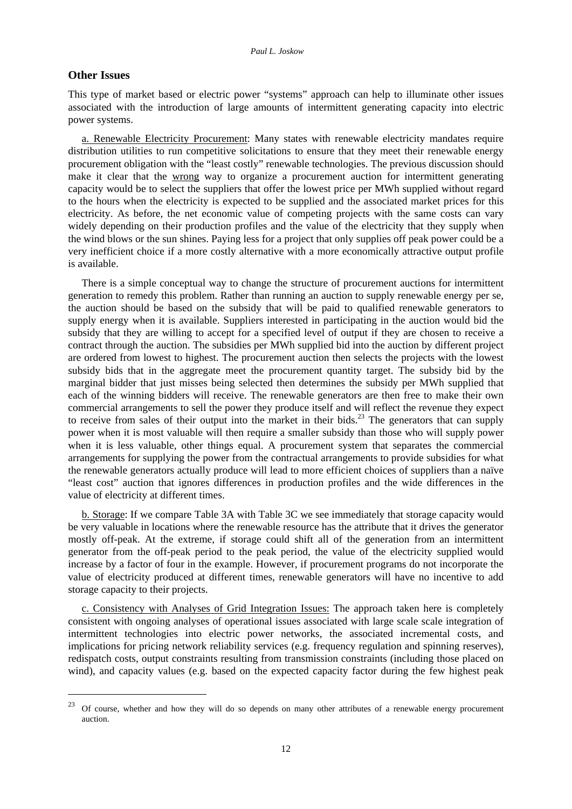#### **Other Issues**

-

This type of market based or electric power "systems" approach can help to illuminate other issues associated with the introduction of large amounts of intermittent generating capacity into electric power systems.

a. Renewable Electricity Procurement: Many states with renewable electricity mandates require distribution utilities to run competitive solicitations to ensure that they meet their renewable energy procurement obligation with the "least costly" renewable technologies. The previous discussion should make it clear that the wrong way to organize a procurement auction for intermittent generating capacity would be to select the suppliers that offer the lowest price per MWh supplied without regard to the hours when the electricity is expected to be supplied and the associated market prices for this electricity. As before, the net economic value of competing projects with the same costs can vary widely depending on their production profiles and the value of the electricity that they supply when the wind blows or the sun shines. Paying less for a project that only supplies off peak power could be a very inefficient choice if a more costly alternative with a more economically attractive output profile is available.

There is a simple conceptual way to change the structure of procurement auctions for intermittent generation to remedy this problem. Rather than running an auction to supply renewable energy per se, the auction should be based on the subsidy that will be paid to qualified renewable generators to supply energy when it is available. Suppliers interested in participating in the auction would bid the subsidy that they are willing to accept for a specified level of output if they are chosen to receive a contract through the auction. The subsidies per MWh supplied bid into the auction by different project are ordered from lowest to highest. The procurement auction then selects the projects with the lowest subsidy bids that in the aggregate meet the procurement quantity target. The subsidy bid by the marginal bidder that just misses being selected then determines the subsidy per MWh supplied that each of the winning bidders will receive. The renewable generators are then free to make their own commercial arrangements to sell the power they produce itself and will reflect the revenue they expect to receive from sales of their output into the market in their bids.<sup>23</sup> The generators that can supply power when it is most valuable will then require a smaller subsidy than those who will supply power when it is less valuable, other things equal. A procurement system that separates the commercial arrangements for supplying the power from the contractual arrangements to provide subsidies for what the renewable generators actually produce will lead to more efficient choices of suppliers than a naïve "least cost" auction that ignores differences in production profiles and the wide differences in the value of electricity at different times.

b. Storage: If we compare Table 3A with Table 3C we see immediately that storage capacity would be very valuable in locations where the renewable resource has the attribute that it drives the generator mostly off-peak. At the extreme, if storage could shift all of the generation from an intermittent generator from the off-peak period to the peak period, the value of the electricity supplied would increase by a factor of four in the example. However, if procurement programs do not incorporate the value of electricity produced at different times, renewable generators will have no incentive to add storage capacity to their projects.

c. Consistency with Analyses of Grid Integration Issues: The approach taken here is completely consistent with ongoing analyses of operational issues associated with large scale scale integration of intermittent technologies into electric power networks, the associated incremental costs, and implications for pricing network reliability services (e.g. frequency regulation and spinning reserves), redispatch costs, output constraints resulting from transmission constraints (including those placed on wind), and capacity values (e.g. based on the expected capacity factor during the few highest peak

<sup>23</sup> Of course, whether and how they will do so depends on many other attributes of a renewable energy procurement auction.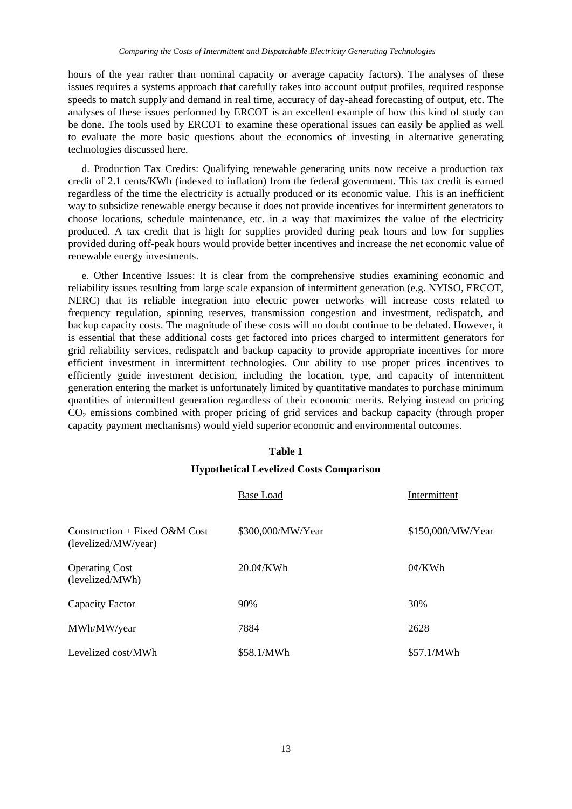hours of the year rather than nominal capacity or average capacity factors). The analyses of these issues requires a systems approach that carefully takes into account output profiles, required response speeds to match supply and demand in real time, accuracy of day-ahead forecasting of output, etc. The analyses of these issues performed by ERCOT is an excellent example of how this kind of study can be done. The tools used by ERCOT to examine these operational issues can easily be applied as well to evaluate the more basic questions about the economics of investing in alternative generating technologies discussed here.

d. Production Tax Credits: Qualifying renewable generating units now receive a production tax credit of 2.1 cents/KWh (indexed to inflation) from the federal government. This tax credit is earned regardless of the time the electricity is actually produced or its economic value. This is an inefficient way to subsidize renewable energy because it does not provide incentives for intermittent generators to choose locations, schedule maintenance, etc. in a way that maximizes the value of the electricity produced. A tax credit that is high for supplies provided during peak hours and low for supplies provided during off-peak hours would provide better incentives and increase the net economic value of renewable energy investments.

e. Other Incentive Issues: It is clear from the comprehensive studies examining economic and reliability issues resulting from large scale expansion of intermittent generation (e.g. NYISO, ERCOT, NERC) that its reliable integration into electric power networks will increase costs related to frequency regulation, spinning reserves, transmission congestion and investment, redispatch, and backup capacity costs. The magnitude of these costs will no doubt continue to be debated. However, it is essential that these additional costs get factored into prices charged to intermittent generators for grid reliability services, redispatch and backup capacity to provide appropriate incentives for more efficient investment in intermittent technologies. Our ability to use proper prices incentives to efficiently guide investment decision, including the location, type, and capacity of intermittent generation entering the market is unfortunately limited by quantitative mandates to purchase minimum quantities of intermittent generation regardless of their economic merits. Relying instead on pricing CO<sub>2</sub> emissions combined with proper pricing of grid services and backup capacity (through proper capacity payment mechanisms) would yield superior economic and environmental outcomes.

#### **Table 1**

#### **Hypothetical Levelized Costs Comparison**

|                                                         | Base Load         | Intermittent      |
|---------------------------------------------------------|-------------------|-------------------|
| Construction + Fixed $O\&M$ Cost<br>(levelized/MW/year) | \$300,000/MW/Year | \$150,000/MW/Year |
| <b>Operating Cost</b><br>(levelized/MWh)                | $20.0\phi$ /KWh   | $0\not\in$ /KWh   |
| Capacity Factor                                         | 90%               | 30%               |
| MWh/MW/year                                             | 7884              | 2628              |
| Levelized cost/MWh                                      | \$58.1/MWh        | \$57.1/MWh        |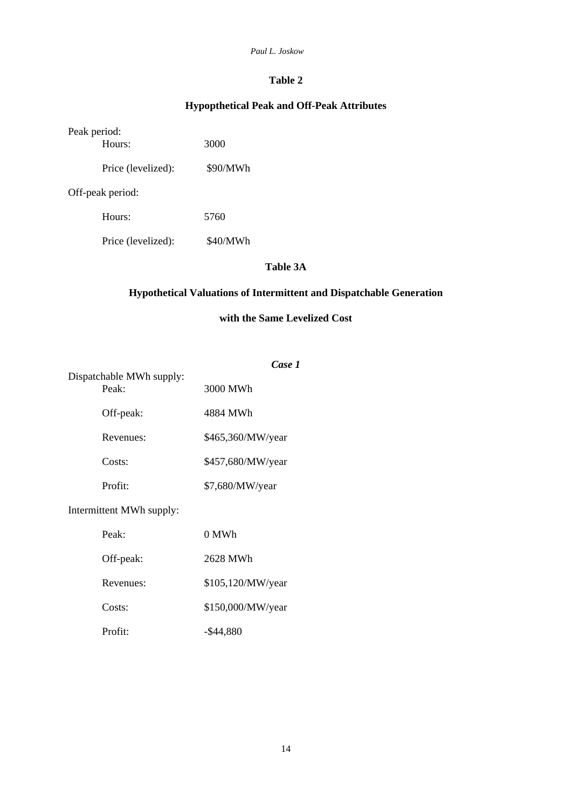#### *Paul L. Joskow*

# **Table 2**

# **Hypopthetical Peak and Off-Peak Attributes**

| Peak period:<br>Hours: | 3000     |
|------------------------|----------|
| Price (levelized):     | \$90/MWh |
| Off-peak period:       |          |
| Hours:                 | 5760     |
| Price (levelized):     | \$40/MWh |

# **Table 3A**

# **Hypothetical Valuations of Intermittent and Dispatchable Generation**

# **with the Same Levelized Cost**

| Dispatchable MWh supply: | Case 1            |  |
|--------------------------|-------------------|--|
| Peak:                    | 3000 MWh          |  |
| Off-peak:                | 4884 MWh          |  |
| Revenues:                | \$465,360/MW/year |  |
| $Costs$ :                | \$457,680/MW/year |  |
| Profit:                  | \$7,680/MW/year   |  |
|                          |                   |  |

# Intermittent MWh supply:

| Peak:     | 0 MWh             |
|-----------|-------------------|
| Off-peak: | 2628 MWh          |
| Revenues: | \$105,120/MW/year |
| Costs:    | \$150,000/MW/year |
| Profit:   | $-$ \$44,880      |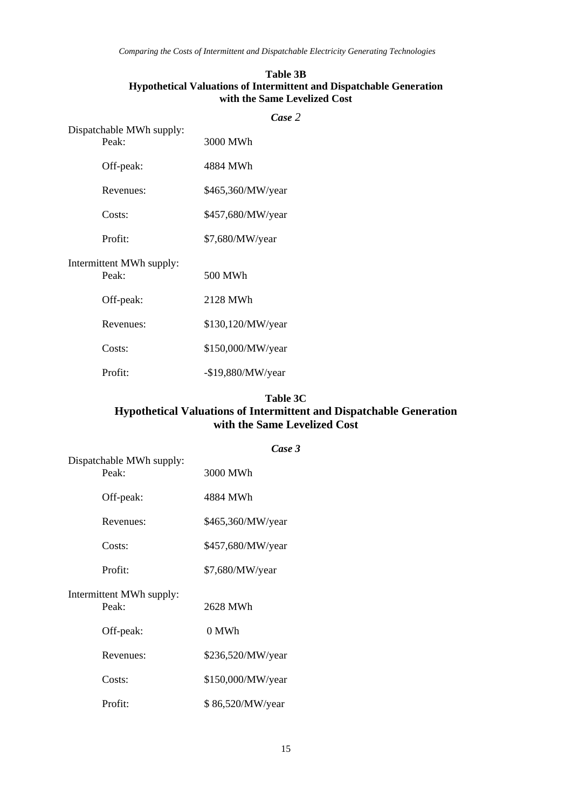## **Table 3B Hypothetical Valuations of Intermittent and Dispatchable Generation with the Same Levelized Cost**

|                                   | Case 2             |
|-----------------------------------|--------------------|
| Dispatchable MWh supply:<br>Peak: | 3000 MWh           |
| Off-peak:                         | 4884 MWh           |
| Revenues:                         | \$465,360/MW/year  |
| Costs:                            | \$457,680/MW/year  |
| Profit:                           | \$7,680/MW/year    |
| Intermittent MWh supply:<br>Peak: | 500 MWh            |
| Off-peak:                         | 2128 MWh           |
| Revenues:                         | \$130,120/MW/year  |
| Costs:                            | \$150,000/MW/year  |
| Profit:                           | $-$19,880/MW/year$ |

#### **Table 3C**

# **Hypothetical Valuations of Intermittent and Dispatchable Generation with the Same Levelized Cost**

|                                   | Case 3            |  |
|-----------------------------------|-------------------|--|
| Dispatchable MWh supply:<br>Peak: | 3000 MWh          |  |
| Off-peak:                         | 4884 MWh          |  |
| Revenues:                         | \$465,360/MW/year |  |
| Costs:                            | \$457,680/MW/year |  |
| Profit:                           | \$7,680/MW/year   |  |
| Intermittent MWh supply:<br>Peak: | 2628 MWh          |  |
| Off-peak:                         | 0 MWh             |  |
| Revenues:                         | \$236,520/MW/year |  |
| Costs:                            | \$150,000/MW/year |  |
| Profit:                           | \$86,520/MW/year  |  |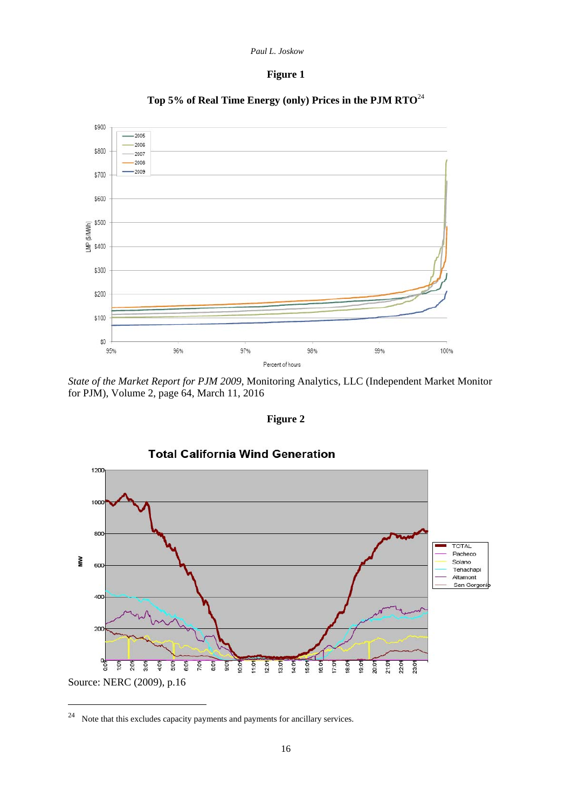# **Figure 1**



**Top 5% of Real Time Energy (only) Prices in the PJM RTO**<sup>24</sup>

*State of the Market Report for PJM 2009*, Monitoring Analytics, LLC (Independent Market Monitor for PJM), Volume 2, page 64, March 11, 2016

**Figure 2** 



24 Note that this excludes capacity payments and payments for ancillary services.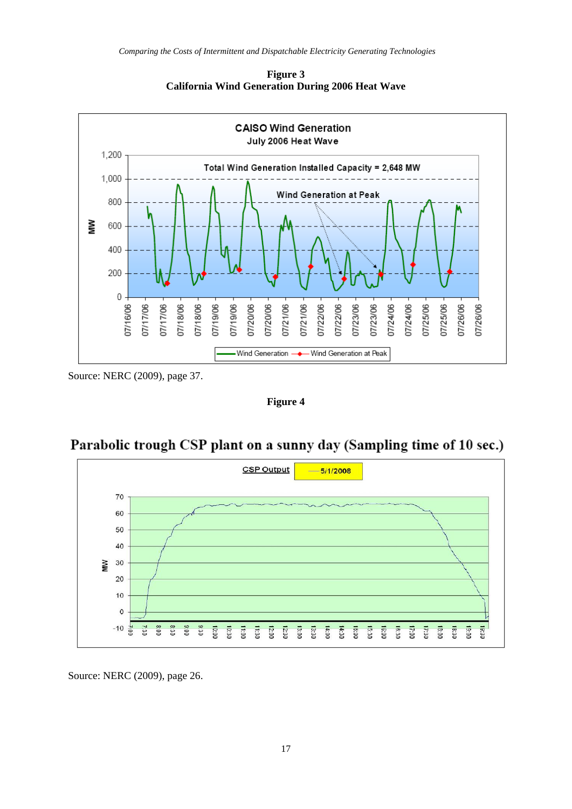

**Figure 3 California Wind Generation During 2006 Heat Wave** 

Source: NERC (2009), page 37.

**Figure 4** 



# Parabolic trough CSP plant on a sunny day (Sampling time of 10 sec.)

Source: NERC (2009), page 26.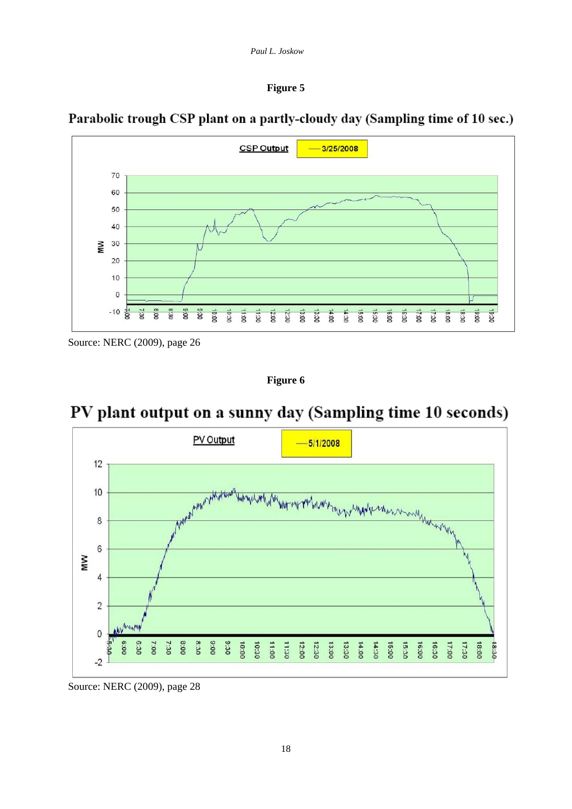#### **Figure 5**



Parabolic trough CSP plant on a partly-cloudy day (Sampling time of 10 sec.)

Source: NERC (2009), page 26

**Figure 6** 



# PV plant output on a sunny day (Sampling time 10 seconds)

Source: NERC (2009), page 28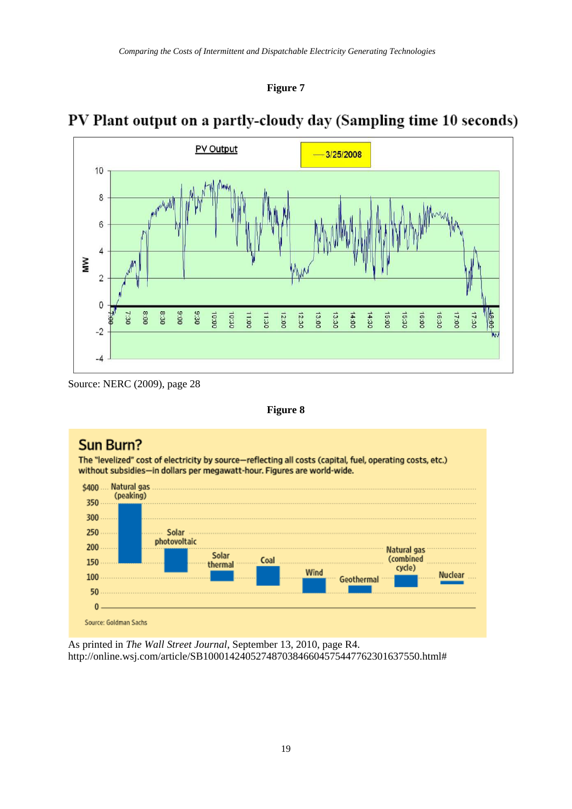

# PV Plant output on a partly-cloudy day (Sampling time 10 seconds)



Source: NERC (2009), page 28

**Figure 8** 



As printed in *The Wall Street Journal*, September 13, 2010, page R4. <http://online.wsj.com/article/SB10001424052748703846604575447762301637550.html#>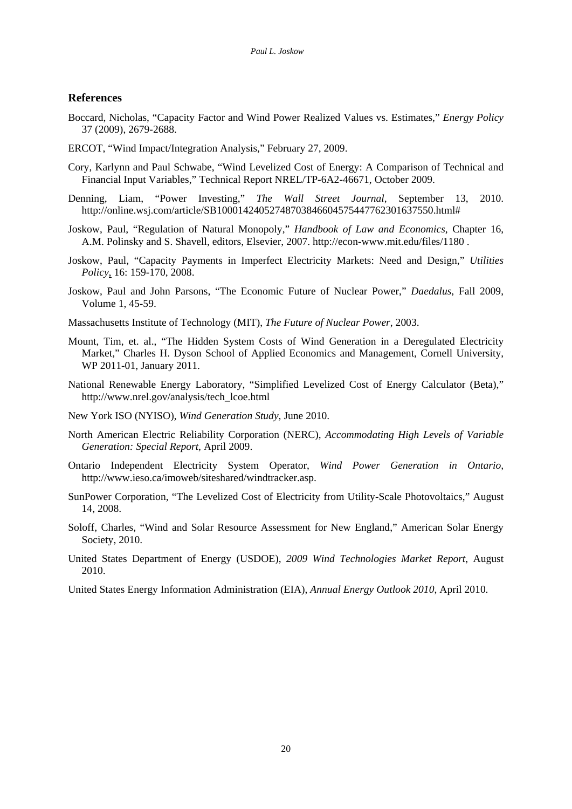#### **References**

- Boccard, Nicholas, "Capacity Factor and Wind Power Realized Values vs. Estimates," *Energy Policy* 37 (2009), 2679-2688.
- ERCOT, "Wind Impact/Integration Analysis," February 27, 2009.
- Cory, Karlynn and Paul Schwabe, "Wind Levelized Cost of Energy: A Comparison of Technical and Financial Input Variables," Technical Report NREL/TP-6A2-46671, October 2009.
- Denning, Liam, "Power Investing," *The Wall Street Journal*, September 13, 2010. <http://online.wsj.com/article/SB10001424052748703846604575447762301637550.html#>
- Joskow, Paul, "Regulation of Natural Monopoly," *Handbook of Law and Economics*, Chapter 16, A.M. Polinsky and S. Shavell, editors, Elsevier, 2007. [http://econ-www.mit.edu/files/1180 .](http://econ-www.mit.edu/files/1180)
- Joskow, Paul, "Capacity Payments in Imperfect Electricity Markets: Need and Design," *Utilities Policy*, 16: 159-170, 2008.
- Joskow, Paul and John Parsons, "The Economic Future of Nuclear Power," *Daedalus*, Fall 2009, Volume 1, 45-59.
- Massachusetts Institute of Technology (MIT), *The Future of Nuclear Power*, 2003.
- Mount, Tim, et. al., "The Hidden System Costs of Wind Generation in a Deregulated Electricity Market," Charles H. Dyson School of Applied Economics and Management, Cornell University, WP 2011-01, January 2011.
- National Renewable Energy Laboratory, "Simplified Levelized Cost of Energy Calculator (Beta)," [http://www.nrel.gov/analysis/tech\\_lcoe.html](http://www.nrel.gov/analysis/tech_lcoe.html)
- New York ISO (NYISO), *Wind Generation Study,* June 2010.
- North American Electric Reliability Corporation (NERC), *Accommodating High Levels of Variable Generation: Special Report*, April 2009.
- Ontario Independent Electricity System Operator, *Wind Power Generation in Ontario,*  [http://www.ieso.ca/imoweb/siteshared/windtracker.asp.](http://www.ieso.ca/imoweb/siteshared/windtracker.asp)
- SunPower Corporation, "The Levelized Cost of Electricity from Utility-Scale Photovoltaics," August 14, 2008.
- Soloff, Charles, "Wind and Solar Resource Assessment for New England," American Solar Energy Society, 2010.
- United States Department of Energy (USDOE), *2009 Wind Technologies Market Report*, August 2010.
- United States Energy Information Administration (EIA), *Annual Energy Outlook 2010*, April 2010.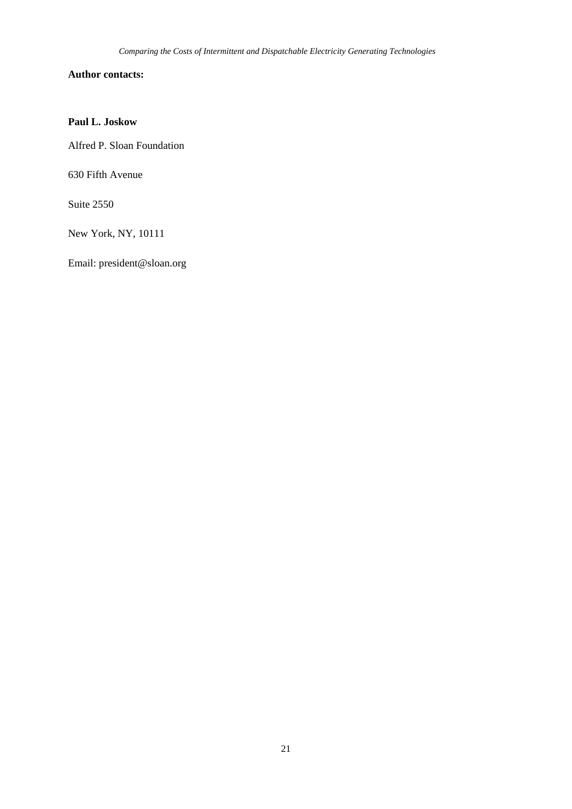# **Author contacts:**

## **Paul L. Joskow**

Alfred P. Sloan Foundation

630 Fifth Avenue

Suite 2550

New York, NY, 10111

Email: [president@sloan.org](mailto:president@sloan.org)